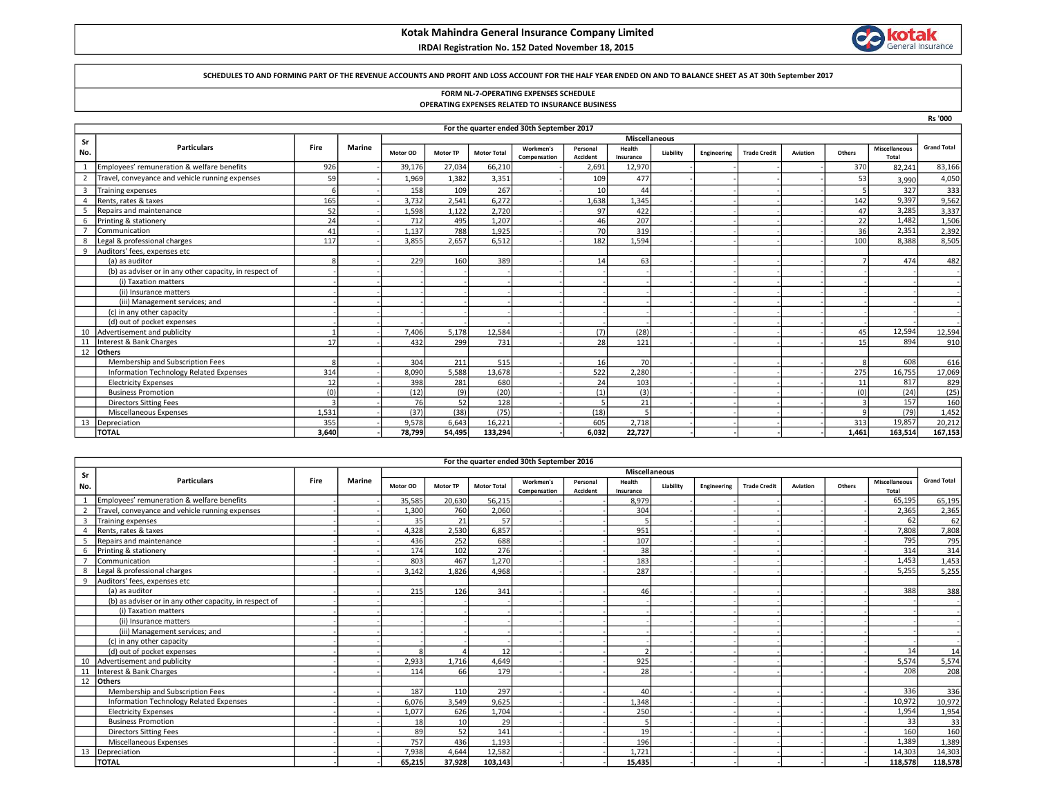## Kotak Mahindra General Insurance Company Limited

## IRDAI Registration No. 152 Dated November 18, 2015



#### SCHEDULES TO AND FORMING PART OF THE REVENUE ACCOUNTS AND PROFIT AND LOSS ACCOUNT FOR THE HALF YEAR ENDED ON AND TO BALANCE SHEET AS AT 30th September 2017

# FORM NL-7-OPERATING EXPENSES SCHEDULE

|  |  |  |  | OPERATING EXPENSES RELATED TO INSURANCE BUSINESS |  |
|--|--|--|--|--------------------------------------------------|--|
|--|--|--|--|--------------------------------------------------|--|

|                |                                                        |       |               |                      |                 |                    |                                           |                 |           |           |             |                     |          |             |                      | <b>Rs '000</b>     |  |
|----------------|--------------------------------------------------------|-------|---------------|----------------------|-----------------|--------------------|-------------------------------------------|-----------------|-----------|-----------|-------------|---------------------|----------|-------------|----------------------|--------------------|--|
|                |                                                        |       |               |                      |                 |                    | For the quarter ended 30th September 2017 |                 |           |           |             |                     |          |             |                      |                    |  |
| Sr             |                                                        |       |               | <b>Miscellaneous</b> |                 |                    |                                           |                 |           |           |             |                     |          |             |                      |                    |  |
| No.            | <b>Particulars</b>                                     | Fire  | <b>Marine</b> | Motor OD             | <b>Motor TP</b> | <b>Motor Total</b> | Workmen's                                 | Personal        | Health    | Liability | Engineering | <b>Trade Credit</b> | Aviation | Others      | <b>Miscellaneous</b> | <b>Grand Total</b> |  |
|                |                                                        |       |               |                      |                 |                    | Compensation                              | <b>Accident</b> | Insurance |           |             |                     |          |             | Total                |                    |  |
|                | Employees' remuneration & welfare benefits             | 926   |               | 39,176               | 27,034          | 66,210             |                                           | 2,691           | 12,970    |           |             |                     |          | 370         | 82,241               | 83,166             |  |
| $\overline{2}$ | Travel, conveyance and vehicle running expenses        | 59    |               | 1,969                | 1,382           | 3,351              |                                           | 109             | 477       |           |             |                     |          | 53          | 3,990                | 4,050              |  |
| $\overline{3}$ | <b>Training expenses</b>                               |       |               | 158                  | 109             | 267                |                                           | 10              | 44        |           |             |                     |          |             | 327                  | 333                |  |
| $\overline{a}$ | Rents, rates & taxes                                   | 165   |               | 3,732                | 2,541           | 6,272              |                                           | 1,638           | 1,345     |           |             |                     |          | 142         | 9,397                | 9,562              |  |
| 5              | Repairs and maintenance                                | 52    |               | 1,598                | 1,122           | 2.720              |                                           | 97              | 422       |           |             |                     |          | 47          | 3,285                | 3,337              |  |
|                | Printing & stationery                                  | 24    |               | 712                  | 495             | 1.207              |                                           | 46              | 207       |           |             |                     |          | 22          | 1.482                | 1,506              |  |
|                | Communication                                          | 41    |               | 1,137                | 788             | 1,925              |                                           | 70I             | 319       |           |             |                     |          | 36          | 2,351                | 2,392              |  |
|                | Legal & professional charges                           | 117   |               | 3.855                | 2.657           | 6.512              |                                           | 182             | 1.594     |           |             |                     |          | 100         | 8,388                | 8,505              |  |
| 9              | Auditors' fees, expenses etc                           |       |               |                      |                 |                    |                                           |                 |           |           |             |                     |          |             |                      |                    |  |
|                | (a) as auditor                                         |       |               | 229                  | 160             | 389                |                                           | 14              | 63        |           |             |                     |          |             | 474                  | 482                |  |
|                | (b) as adviser or in any other capacity, in respect of |       |               |                      |                 |                    |                                           |                 |           |           |             |                     |          |             |                      |                    |  |
|                | (i) Taxation matters                                   |       |               |                      |                 |                    |                                           |                 |           |           |             |                     |          |             |                      |                    |  |
|                | (ii) Insurance matters                                 |       |               |                      |                 |                    |                                           |                 |           |           |             |                     |          |             |                      |                    |  |
|                | (iii) Management services; and                         |       |               |                      |                 |                    |                                           |                 |           |           |             |                     |          |             |                      |                    |  |
|                | (c) in any other capacity                              |       |               |                      |                 |                    |                                           |                 |           |           |             |                     |          |             |                      |                    |  |
|                | (d) out of pocket expenses                             |       |               |                      |                 |                    |                                           |                 |           |           |             |                     |          |             |                      |                    |  |
| 10             | Advertisement and publicity                            |       |               | 7,406                | 5,178           | 12,584             |                                           | (7)             | (28)      |           |             |                     |          | 45          | 12,594               | 12,594             |  |
| 11             | Interest & Bank Charges                                | 17    |               | 432                  | 299             | 731                |                                           | <b>28</b>       | 121       |           |             |                     |          | 15          | 894                  | 910                |  |
| 12             | <b>Others</b>                                          |       |               |                      |                 |                    |                                           |                 |           |           |             |                     |          |             |                      |                    |  |
|                | Membership and Subscription Fees                       |       |               | 304                  | 211             | 515                |                                           | 16 <sup>1</sup> | 70        |           |             |                     |          | 8           | 608                  | 616                |  |
|                | Information Technology Related Expenses                | 314   |               | 8,090                | 5.588           | 13,678             |                                           | 522             | 2.280     |           |             |                     |          | 275         | 16,755               | 17,069             |  |
|                | <b>Electricity Expenses</b>                            | 12    |               | 398                  | 281             | 680                |                                           | 24              | 103       |           |             |                     |          | 11          | 817                  | 829                |  |
|                | <b>Business Promotion</b>                              | (0)   |               | (12)                 | (9)             | (20)               |                                           | (1)             | (3)       |           |             |                     |          | (0)         | (24)                 | (25)               |  |
|                | <b>Directors Sitting Fees</b>                          |       |               | 76                   | 52              | 128                |                                           | 5               | 21        |           |             |                     |          |             | 157                  | 160                |  |
|                | Miscellaneous Expenses                                 | 1,531 |               | (37)                 | (38)            | (75)               |                                           | (18)            | 5         |           |             |                     |          | $\mathsf q$ | (79)                 | 1,452              |  |
| 13             | Depreciation                                           | 355   |               | 9.578                | 6.643           | 16.221             |                                           | 605             | 2.718     |           |             |                     |          | 313         | 19.857               | 20,212             |  |
|                | <b>TOTAL</b>                                           | 3.640 |               | 78,799               | 54.495          | 133.294            |                                           | 6.032           | 22.727    |           |             |                     |          | 1.461       | 163,514              | 167,153            |  |

|                         | For the quarter ended 30th September 2016              |      |               |          |                      |                    |                           |                      |                     |           |             |                     |          |        |                               |                    |
|-------------------------|--------------------------------------------------------|------|---------------|----------|----------------------|--------------------|---------------------------|----------------------|---------------------|-----------|-------------|---------------------|----------|--------|-------------------------------|--------------------|
| Sr                      |                                                        |      |               |          | <b>Miscellaneous</b> |                    |                           |                      |                     |           |             |                     |          |        |                               |                    |
| No.                     | <b>Particulars</b>                                     | Fire | <b>Marine</b> | Motor OD | <b>Motor TP</b>      | <b>Motor Total</b> | Workmen's<br>Compensation | Personal<br>Accident | Health<br>Insurance | Liability | Engineering | <b>Trade Credit</b> | Aviation | Others | <b>Miscellaneous</b><br>Total | <b>Grand Total</b> |
|                         | Employees' remuneration & welfare benefits             |      |               | 35,585   | 20,630               | 56,215             |                           |                      | 8,979               |           |             |                     |          |        | 65,195                        | 65,195             |
|                         | Travel, conveyance and vehicle running expenses        |      |               | 1,300    | 760                  | 2,060              |                           |                      | 304                 |           |             |                     |          |        | 2,365                         | 2,365              |
| $\overline{\mathbf{3}}$ | <b>Training expenses</b>                               |      |               | 35       | 21                   | 57                 |                           |                      |                     |           |             |                     |          |        | 62                            | 62                 |
|                         | Rents, rates & taxes                                   |      |               | 4,328    | 2,530                | 6,857              |                           |                      | 951                 |           |             |                     |          |        | 7,808                         | 7,808              |
|                         | Repairs and maintenance                                |      |               | 436      | 252                  | 688                |                           |                      | 107                 |           |             |                     |          |        | 795                           | 795                |
| 6                       | Printing & stationery                                  |      |               | 174      | 102                  | 276                |                           |                      | 38                  |           |             |                     |          |        | 314                           | 314                |
|                         | Communication                                          |      |               | 803      | 467                  | 1,270              |                           |                      | 183                 |           |             |                     |          |        | 1,453                         | 1,453              |
| 8                       | Legal & professional charges                           |      |               | 3.142    | 1.826                | 4.968              |                           |                      | 287                 |           |             |                     |          |        | 5,255                         | 5,255              |
| 9                       | Auditors' fees, expenses etc                           |      |               |          |                      |                    |                           |                      |                     |           |             |                     |          |        |                               |                    |
|                         | (a) as auditor                                         |      |               | 215      | 126                  | 341                |                           |                      | 46                  |           |             |                     |          |        | 388                           | 388                |
|                         | (b) as adviser or in any other capacity, in respect of |      |               |          |                      |                    |                           |                      |                     |           |             |                     |          |        |                               |                    |
|                         | (i) Taxation matters                                   |      |               |          |                      |                    |                           |                      |                     |           |             |                     |          |        |                               |                    |
|                         | (ii) Insurance matters                                 |      |               |          |                      |                    |                           |                      |                     |           |             |                     |          |        |                               |                    |
|                         | (iii) Management services; and                         |      |               |          |                      |                    |                           |                      |                     |           |             |                     |          |        |                               |                    |
|                         | (c) in any other capacity                              |      |               |          |                      |                    |                           |                      |                     |           |             |                     |          |        |                               |                    |
|                         | (d) out of pocket expenses                             |      |               |          |                      | 12                 |                           |                      | $\mathcal{P}$       |           |             |                     |          |        | 14                            | 14                 |
| 10                      | Advertisement and publicity                            |      |               | 2,933    | 1.716                | 4,649              |                           |                      | 925                 |           |             |                     |          |        | 5,574                         | 5,574              |
|                         | Interest & Bank Charges                                |      |               | 114      | 66                   | 179                |                           |                      | 28                  |           |             |                     |          |        | 208                           | 208                |
|                         | 12 Others                                              |      |               |          |                      |                    |                           |                      |                     |           |             |                     |          |        |                               |                    |
|                         | Membership and Subscription Fees                       |      |               | 187      | 110                  | 297                |                           |                      | 40                  |           |             |                     |          |        | 336                           | 336                |
|                         | Information Technology Related Expenses                |      |               | 6.076    | 3.549                | 9,625              |                           |                      | 1,348               |           |             |                     |          |        | 10,972                        | 10,972             |
|                         | <b>Electricity Expenses</b>                            |      |               | 1,077    | 626                  | 1,704              |                           |                      | 250                 |           |             |                     |          |        | 1,954                         | 1,954              |
|                         | <b>Business Promotion</b>                              |      |               | 18       | 10                   | 29                 |                           |                      | 5                   |           |             |                     |          |        | 33                            | 33                 |
|                         | <b>Directors Sitting Fees</b>                          |      |               | 89       | 52                   | 141                |                           |                      | 19                  |           |             |                     |          |        | 160                           | 160                |
|                         | Miscellaneous Expenses                                 |      |               | 757      | 436                  | 1,193              |                           |                      | 196                 |           |             |                     |          |        | 1,389                         | 1,389              |
| 13                      | Depreciation                                           |      |               | 7,938    | 4.644                | 12,582             |                           |                      | 1,721               |           |             |                     |          |        | 14,303                        | 14,303             |
|                         | <b>TOTAL</b>                                           |      |               | 65,215   | 37,928               | 103,143            |                           |                      | 15,435              |           |             |                     |          |        | 118,578                       | 118,578            |